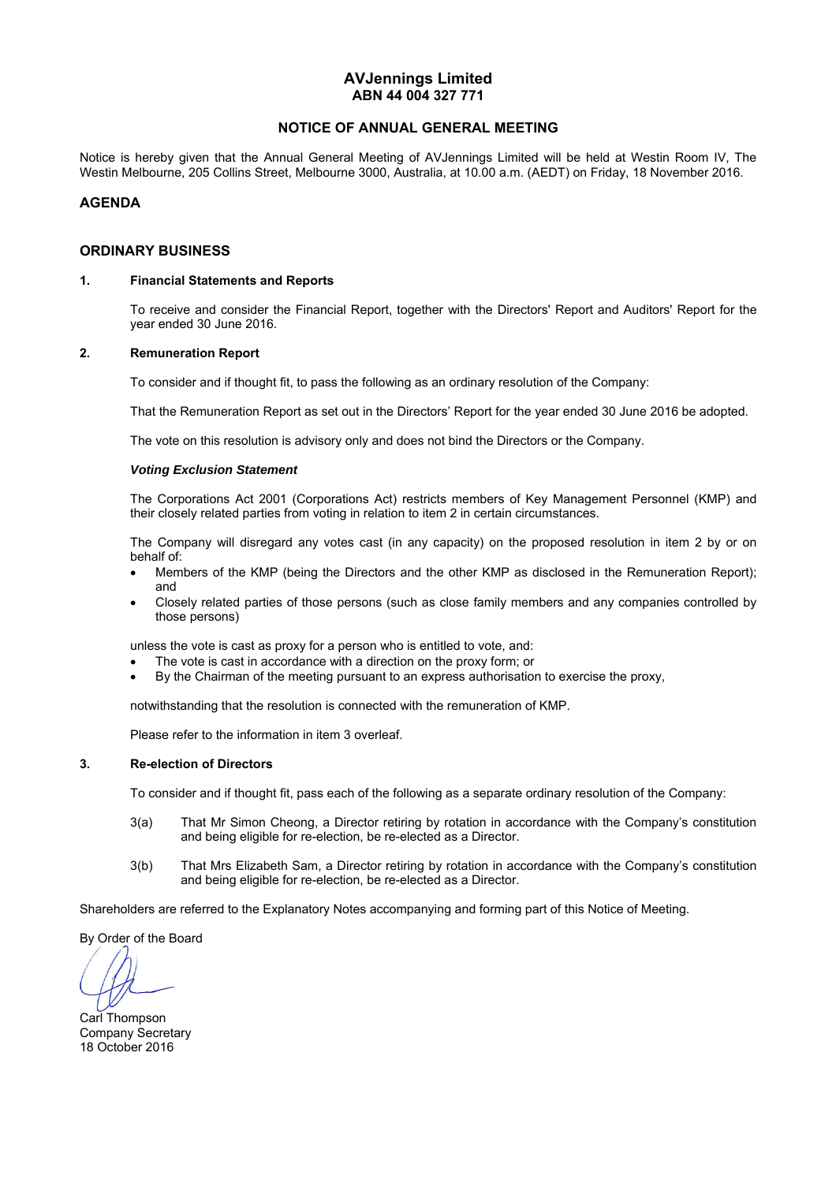# **AVJennings Limited ABN 44 004 327 771**

# **NOTICE OF ANNUAL GENERAL MEETING**

Notice is hereby given that the Annual General Meeting of AVJennings Limited will be held at Westin Room IV, The Westin Melbourne, 205 Collins Street, Melbourne 3000, Australia, at 10.00 a.m. (AEDT) on Friday, 18 November 2016.

## **AGENDA**

## **ORDINARY BUSINESS**

## **1. Financial Statements and Reports**

To receive and consider the Financial Report, together with the Directors' Report and Auditors' Report for the year ended 30 June 2016.

## **2. Remuneration Report**

To consider and if thought fit, to pass the following as an ordinary resolution of the Company:

That the Remuneration Report as set out in the Directors' Report for the year ended 30 June 2016 be adopted.

The vote on this resolution is advisory only and does not bind the Directors or the Company.

#### *Voting Exclusion Statement*

 The Corporations Act 2001 (Corporations Act) restricts members of Key Management Personnel (KMP) and their closely related parties from voting in relation to item 2 in certain circumstances.

 The Company will disregard any votes cast (in any capacity) on the proposed resolution in item 2 by or on behalf of:

- Members of the KMP (being the Directors and the other KMP as disclosed in the Remuneration Report); and
- Closely related parties of those persons (such as close family members and any companies controlled by those persons)

unless the vote is cast as proxy for a person who is entitled to vote, and:

- The vote is cast in accordance with a direction on the proxy form; or
- By the Chairman of the meeting pursuant to an express authorisation to exercise the proxy,

notwithstanding that the resolution is connected with the remuneration of KMP.

Please refer to the information in item 3 overleaf.

# **3. Re-election of Directors**

To consider and if thought fit, pass each of the following as a separate ordinary resolution of the Company:

- 3(a) That Mr Simon Cheong, a Director retiring by rotation in accordance with the Company's constitution and being eligible for re-election, be re-elected as a Director.
- 3(b) That Mrs Elizabeth Sam, a Director retiring by rotation in accordance with the Company's constitution and being eligible for re-election, be re-elected as a Director.

Shareholders are referred to the Explanatory Notes accompanying and forming part of this Notice of Meeting.

By Order of the Board

Carl Thompson Company Secretary 18 October 2016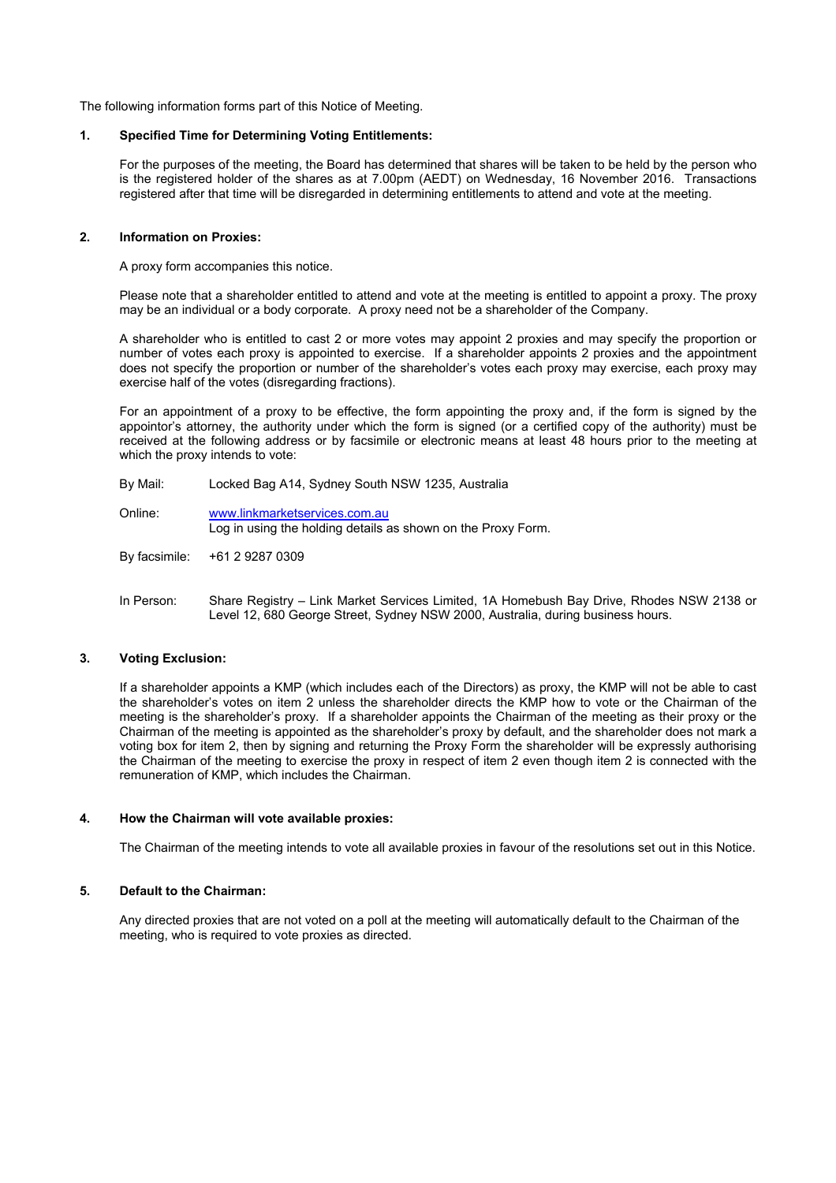The following information forms part of this Notice of Meeting.

## **1. Specified Time for Determining Voting Entitlements:**

For the purposes of the meeting, the Board has determined that shares will be taken to be held by the person who is the registered holder of the shares as at 7.00pm (AEDT) on Wednesday, 16 November 2016. Transactions registered after that time will be disregarded in determining entitlements to attend and vote at the meeting.

## **2. Information on Proxies:**

A proxy form accompanies this notice.

Please note that a shareholder entitled to attend and vote at the meeting is entitled to appoint a proxy. The proxy may be an individual or a body corporate. A proxy need not be a shareholder of the Company.

A shareholder who is entitled to cast 2 or more votes may appoint 2 proxies and may specify the proportion or number of votes each proxy is appointed to exercise. If a shareholder appoints 2 proxies and the appointment does not specify the proportion or number of the shareholder's votes each proxy may exercise, each proxy may exercise half of the votes (disregarding fractions).

For an appointment of a proxy to be effective, the form appointing the proxy and, if the form is signed by the appointor's attorney, the authority under which the form is signed (or a certified copy of the authority) must be received at the following address or by facsimile or electronic means at least 48 hours prior to the meeting at which the proxy intends to vote:

- By Mail: Locked Bag A14, Sydney South NSW 1235, Australia
- Online: www.linkmarketservices.com.au Log in using the holding details as shown on the Proxy Form.
- By facsimile: +61 2 9287 0309
- In Person: Share Registry Link Market Services Limited, 1A Homebush Bay Drive, Rhodes NSW 2138 or Level 12, 680 George Street, Sydney NSW 2000, Australia, during business hours.

## **3. Voting Exclusion:**

If a shareholder appoints a KMP (which includes each of the Directors) as proxy, the KMP will not be able to cast the shareholder's votes on item 2 unless the shareholder directs the KMP how to vote or the Chairman of the meeting is the shareholder's proxy. If a shareholder appoints the Chairman of the meeting as their proxy or the Chairman of the meeting is appointed as the shareholder's proxy by default, and the shareholder does not mark a voting box for item 2, then by signing and returning the Proxy Form the shareholder will be expressly authorising the Chairman of the meeting to exercise the proxy in respect of item 2 even though item 2 is connected with the remuneration of KMP, which includes the Chairman.

## **4. How the Chairman will vote available proxies:**

The Chairman of the meeting intends to vote all available proxies in favour of the resolutions set out in this Notice.

## **5. Default to the Chairman:**

Any directed proxies that are not voted on a poll at the meeting will automatically default to the Chairman of the meeting, who is required to vote proxies as directed.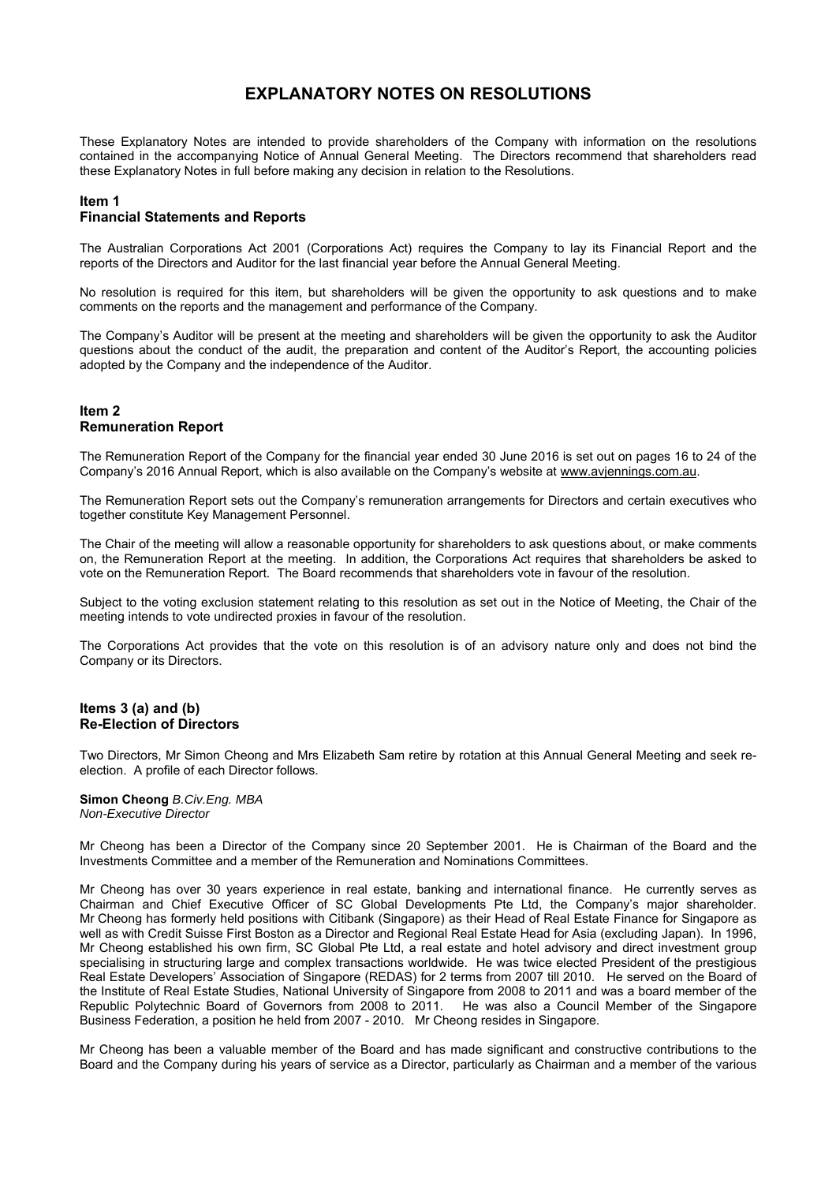# **EXPLANATORY NOTES ON RESOLUTIONS**

These Explanatory Notes are intended to provide shareholders of the Company with information on the resolutions contained in the accompanying Notice of Annual General Meeting. The Directors recommend that shareholders read these Explanatory Notes in full before making any decision in relation to the Resolutions.

# **Item 1**

# **Financial Statements and Reports**

The Australian Corporations Act 2001 (Corporations Act) requires the Company to lay its Financial Report and the reports of the Directors and Auditor for the last financial year before the Annual General Meeting.

No resolution is required for this item, but shareholders will be given the opportunity to ask questions and to make comments on the reports and the management and performance of the Company.

The Company's Auditor will be present at the meeting and shareholders will be given the opportunity to ask the Auditor questions about the conduct of the audit, the preparation and content of the Auditor's Report, the accounting policies adopted by the Company and the independence of the Auditor.

## **Item 2 Remuneration Report**

The Remuneration Report of the Company for the financial year ended 30 June 2016 is set out on pages 16 to 24 of the Company's 2016 Annual Report, which is also available on the Company's website at www.avjennings.com.au.

The Remuneration Report sets out the Company's remuneration arrangements for Directors and certain executives who together constitute Key Management Personnel.

The Chair of the meeting will allow a reasonable opportunity for shareholders to ask questions about, or make comments on, the Remuneration Report at the meeting. In addition, the Corporations Act requires that shareholders be asked to vote on the Remuneration Report. The Board recommends that shareholders vote in favour of the resolution.

Subject to the voting exclusion statement relating to this resolution as set out in the Notice of Meeting, the Chair of the meeting intends to vote undirected proxies in favour of the resolution.

The Corporations Act provides that the vote on this resolution is of an advisory nature only and does not bind the Company or its Directors.

## **Items 3 (a) and (b) Re-Election of Directors**

Two Directors, Mr Simon Cheong and Mrs Elizabeth Sam retire by rotation at this Annual General Meeting and seek reelection. A profile of each Director follows.

#### **Simon Cheong** *B.Civ.Eng. MBA Non-Executive Director*

Mr Cheong has been a Director of the Company since 20 September 2001. He is Chairman of the Board and the Investments Committee and a member of the Remuneration and Nominations Committees.

Mr Cheong has over 30 years experience in real estate, banking and international finance. He currently serves as Chairman and Chief Executive Officer of SC Global Developments Pte Ltd, the Company's major shareholder. Mr Cheong has formerly held positions with Citibank (Singapore) as their Head of Real Estate Finance for Singapore as well as with Credit Suisse First Boston as a Director and Regional Real Estate Head for Asia (excluding Japan). In 1996, Mr Cheong established his own firm, SC Global Pte Ltd, a real estate and hotel advisory and direct investment group specialising in structuring large and complex transactions worldwide. He was twice elected President of the prestigious Real Estate Developers' Association of Singapore (REDAS) for 2 terms from 2007 till 2010. He served on the Board of the Institute of Real Estate Studies, National University of Singapore from 2008 to 2011 and was a board member of the Republic Polytechnic Board of Governors from 2008 to 2011. He was also a Council Member of the Singapore Business Federation, a position he held from 2007 - 2010. Mr Cheong resides in Singapore.

Mr Cheong has been a valuable member of the Board and has made significant and constructive contributions to the Board and the Company during his years of service as a Director, particularly as Chairman and a member of the various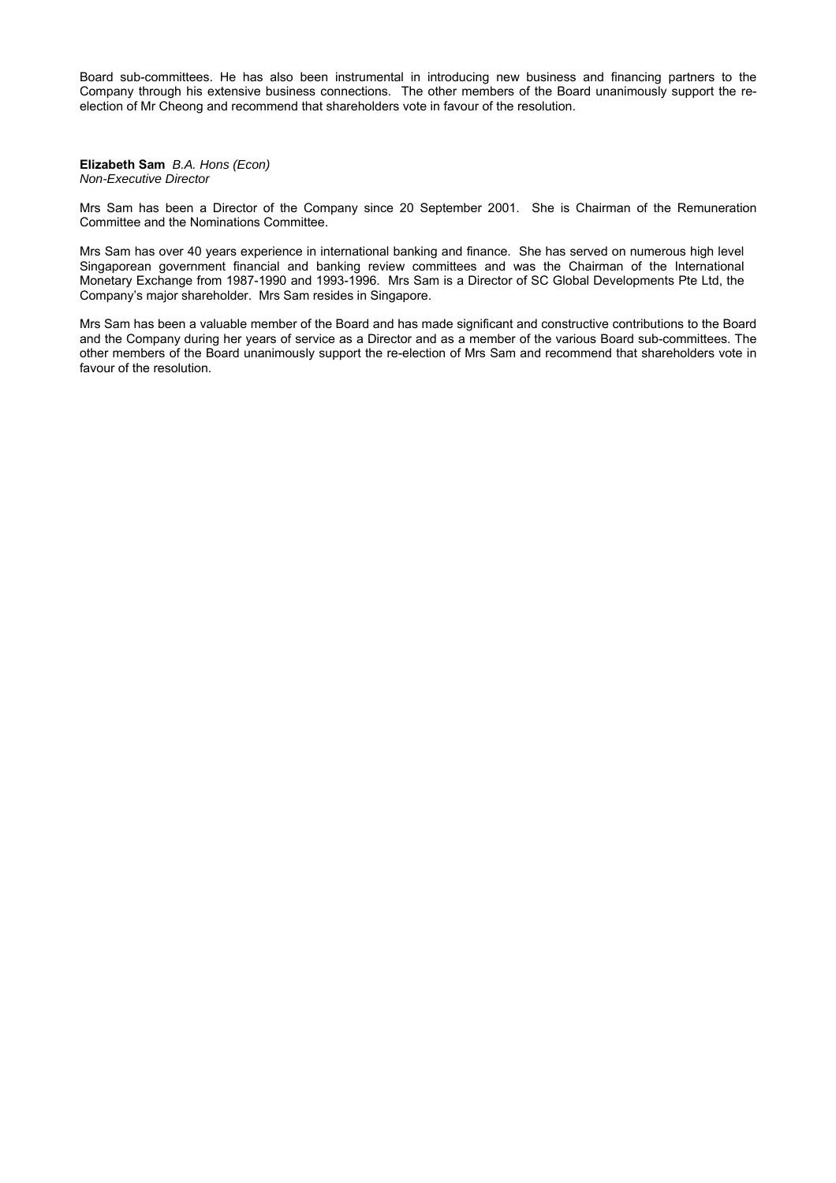Board sub-committees. He has also been instrumental in introducing new business and financing partners to the Company through his extensive business connections. The other members of the Board unanimously support the reelection of Mr Cheong and recommend that shareholders vote in favour of the resolution.

**Elizabeth Sam** *B.A. Hons (Econ) Non-Executive Director* 

Mrs Sam has been a Director of the Company since 20 September 2001. She is Chairman of the Remuneration Committee and the Nominations Committee.

Mrs Sam has over 40 years experience in international banking and finance. She has served on numerous high level Singaporean government financial and banking review committees and was the Chairman of the International Monetary Exchange from 1987-1990 and 1993-1996. Mrs Sam is a Director of SC Global Developments Pte Ltd, the Company's major shareholder. Mrs Sam resides in Singapore.

Mrs Sam has been a valuable member of the Board and has made significant and constructive contributions to the Board and the Company during her years of service as a Director and as a member of the various Board sub-committees. The other members of the Board unanimously support the re-election of Mrs Sam and recommend that shareholders vote in favour of the resolution.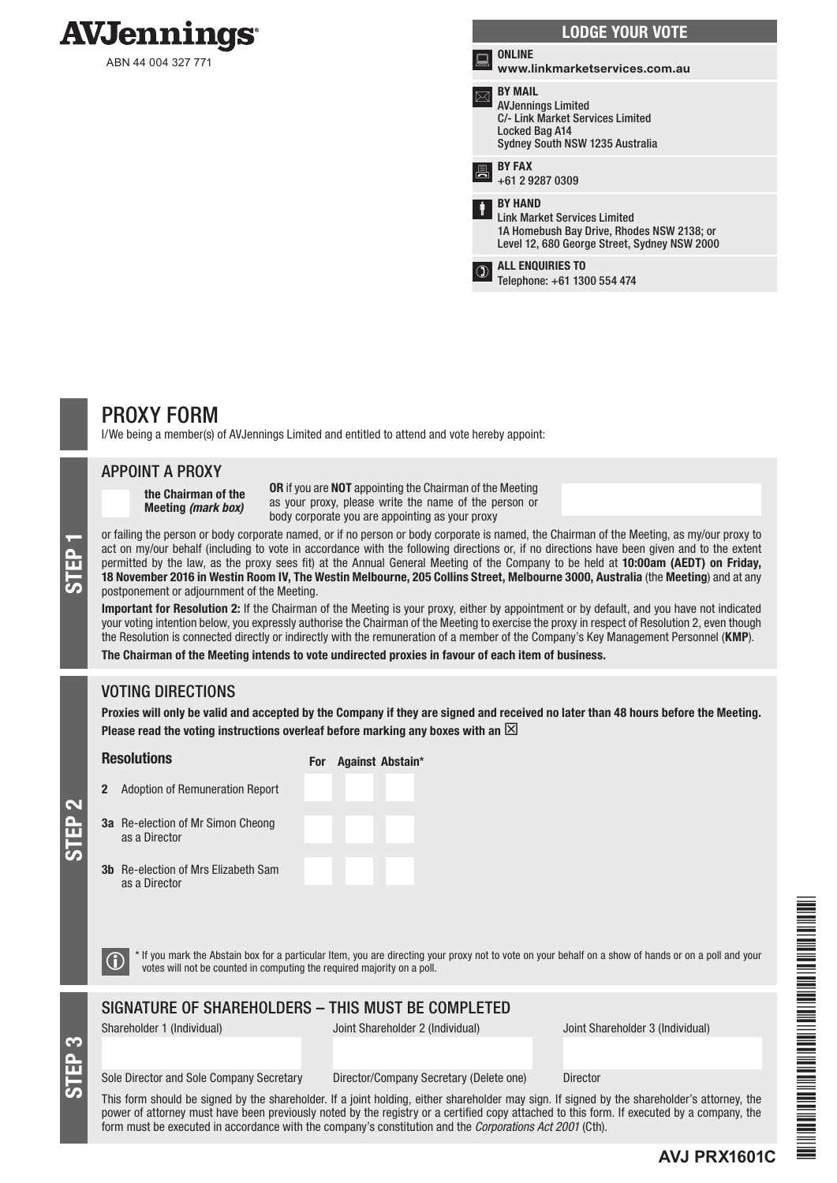

|   | <b>LODGE YOUR VOTE</b>                                                                                                                              |
|---|-----------------------------------------------------------------------------------------------------------------------------------------------------|
| ≂ | <b>ONLINE</b><br>www.linkmarketservices.com.au                                                                                                      |
|   | <b>BY MAIL</b><br><b>AVJennings Limited</b><br><b>C/- Link Market Services Limited</b><br>Locked Bag A14<br>Sydney South NSW 1235 Australia         |
|   | <b>BY FAX</b><br>+61 2 9287 0309                                                                                                                    |
| İ | <b>BY HAND</b><br><b>Link Market Services Limited</b><br>1A Homebush Bay Drive, Rhodes NSW 2138; or<br>Level 12, 680 George Street, Sydney NSW 2000 |
|   | <b>ALL ENQUIRIES TO</b><br>Telephone: +61 1300 554 474                                                                                              |

# PROXY FORM

I/We being a member(s) of AVJennings Limited and entitled to attend and vote hereby appoint:

# APPOINT A PROXY

the Chairman of the Meeting *(mark box)*

OR if you are NOT appointing the Chairman of the Meeting as your proxy, please write the name of the person or body corporate you are appointing as your proxy

or failing the person or body corporate named, or if no person or body corporate is named, the Chairman of the Meeting, as my/our proxy to<br>act on my/our behalf (including to vote in accordance with the following directions act on my/our behalf (including to vote in accordance with the following directions or, if no directions have been given and to the extent permitted by the law, as the proxy sees fit) at the Annual General Meeting of the Company to be held at 10:00am (AEDT) on Friday, postponement or adjournment of the Meeting.

Important for Resolution 2: If the Chairman of the Meeting is your proxy, either by appointment or by default, and you have not indicated your voting intention below, you expressly authorise the Chairman of the Meeting to exercise the proxy in respect of Resolution 2, even though the Resolution is connected directly or indirectly with the remuneration of a member of the Company's Key Management Personnel (KMP).

The Chairman of the Meeting intends to vote undirected proxies in favour of each item of business.

# VOTING DIRECTIONS

Proxies will only be valid and accepted by the Company if they are signed and received no later than 48 hours before the Meeting. Please read the voting instructions overleaf before marking any boxes with an  $\boxtimes$ 

### **Resolutions**

For Against Abstain\*

<u>م</u><br>س

STEP 3

3a Re-election of Mr Simon Cheong as a Director 3b Re-election of Mrs

as a Director

2 Adoption of Remuneration Report

| צוווטוו טווכטווע |  |  |
|------------------|--|--|
| Elizabeth Sam    |  |  |
|                  |  |  |
|                  |  |  |

 $\bigcirc$  \* If you mark the Abstain box for a particular Item, you are directing your proxy not to vote on your behalf on a show of hands or on a poll and your votes will not be counted in computing the required majority on a

# SIGNATURE OF SHAREHOLDERS – THIS MUST BE COMPLETED

Shareholder 1 (Individual) Joint Shareholder 2 (Individual) Joint Shareholder 3 (Individual)

### Sole Director and Sole Company Secretary Director/Company Secretary (Delete one) Director

This form should be signed by the shareholder. If a joint holding, either shareholder may sign. If signed by the shareholder's attorney, the power of attorney must have been previously noted by the registry or a certified copy attached to this form. If executed by a company, the form must be executed in accordance with the company's constitution and the *Corporations Act 2001* (Cth).